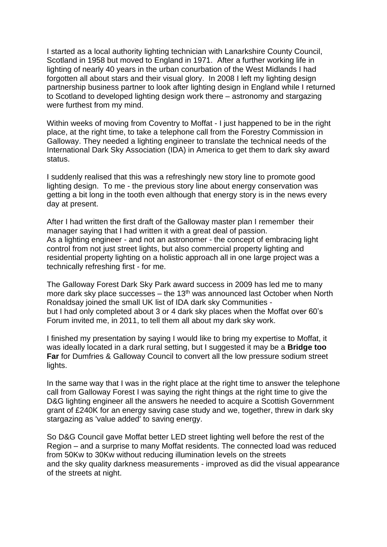I started as a local authority lighting technician with Lanarkshire County Council, Scotland in 1958 but moved to England in 1971. After a further working life in lighting of nearly 40 years in the urban conurbation of the West Midlands I had forgotten all about stars and their visual glory. In 2008 I left my lighting design partnership business partner to look after lighting design in England while I returned to Scotland to developed lighting design work there – astronomy and stargazing were furthest from my mind.

Within weeks of moving from Coventry to Moffat - I just happened to be in the right place, at the right time, to take a telephone call from the Forestry Commission in Galloway. They needed a lighting engineer to translate the technical needs of the International Dark Sky Association (IDA) in America to get them to dark sky award status.

I suddenly realised that this was a refreshingly new story line to promote good lighting design. To me - the previous story line about energy conservation was getting a bit long in the tooth even although that energy story is in the news every day at present.

After I had written the first draft of the Galloway master plan I remember their manager saying that I had written it with a great deal of passion. As a lighting engineer - and not an astronomer - the concept of embracing light control from not just street lights, but also commercial property lighting and residential property lighting on a holistic approach all in one large project was a technically refreshing first - for me.

The Galloway Forest Dark Sky Park award success in 2009 has led me to many more dark sky place successes – the  $13<sup>th</sup>$  was announced last October when North Ronaldsay joined the small UK list of IDA dark sky Communities but I had only completed about 3 or 4 dark sky places when the Moffat over 60's Forum invited me, in 2011, to tell them all about my dark sky work.

I finished my presentation by saying I would like to bring my expertise to Moffat, it was ideally located in a dark rural setting, but I suggested it may be a **Bridge too Far** for Dumfries & Galloway Council to convert all the low pressure sodium street lights.

In the same way that I was in the right place at the right time to answer the telephone call from Galloway Forest I was saying the right things at the right time to give the D&G lighting engineer all the answers he needed to acquire a Scottish Government grant of £240K for an energy saving case study and we, together, threw in dark sky stargazing as 'value added' to saving energy.

So D&G Council gave Moffat better LED street lighting well before the rest of the Region – and a surprise to many Moffat residents. The connected load was reduced from 50Kw to 30Kw without reducing illumination levels on the streets and the sky quality darkness measurements - improved as did the visual appearance of the streets at night.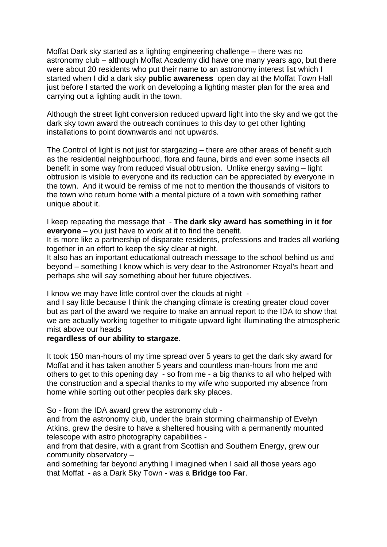Moffat Dark sky started as a lighting engineering challenge – there was no astronomy club – although Moffat Academy did have one many years ago, but there were about 20 residents who put their name to an astronomy interest list which I started when I did a dark sky **public awareness** open day at the Moffat Town Hall just before I started the work on developing a lighting master plan for the area and carrying out a lighting audit in the town.

Although the street light conversion reduced upward light into the sky and we got the dark sky town award the outreach continues to this day to get other lighting installations to point downwards and not upwards.

The Control of light is not just for stargazing – there are other areas of benefit such as the residential neighbourhood, flora and fauna, birds and even some insects all benefit in some way from reduced visual obtrusion. Unlike energy saving – light obtrusion is visible to everyone and its reduction can be appreciated by everyone in the town. And it would be remiss of me not to mention the thousands of visitors to the town who return home with a mental picture of a town with something rather unique about it.

I keep repeating the message that - **The dark sky award has something in it for everyone** – you just have to work at it to find the benefit.

It is more like a partnership of disparate residents, professions and trades all working together in an effort to keep the sky clear at night.

It also has an important educational outreach message to the school behind us and beyond – something I know which is very dear to the Astronomer Royal's heart and perhaps she will say something about her future objectives.

I know we may have little control over the clouds at night -

and I say little because I think the changing climate is creating greater cloud cover but as part of the award we require to make an annual report to the IDA to show that we are actually working together to mitigate upward light illuminating the atmospheric mist above our heads

## **regardless of our ability to stargaze**.

It took 150 man-hours of my time spread over 5 years to get the dark sky award for Moffat and it has taken another 5 years and countless man-hours from me and others to get to this opening day - so from me - a big thanks to all who helped with the construction and a special thanks to my wife who supported my absence from home while sorting out other peoples dark sky places.

So - from the IDA award grew the astronomy club -

and from the astronomy club, under the brain storming chairmanship of Evelyn Atkins, grew the desire to have a sheltered housing with a permanently mounted telescope with astro photography capabilities -

and from that desire, with a grant from Scottish and Southern Energy, grew our community observatory –

and something far beyond anything I imagined when I said all those years ago that Moffat - as a Dark Sky Town - was a **Bridge too Far**.